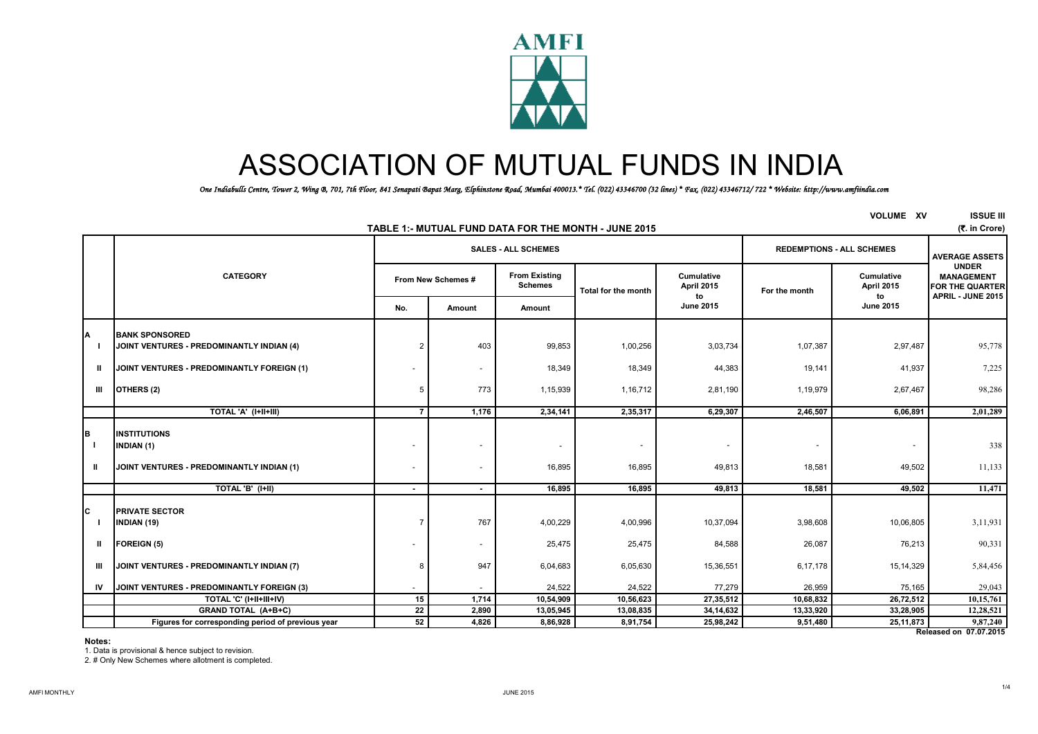

# ASSOCIATION OF MUTUAL FUNDS IN INDIA

*One Indiabulls Centre, Tower 2, Wing B, 701, 7th Floor, 841 Senapati Bapat Marg, Elphinstone Road, Mumbai 400013.\* Tel. (022) 43346700 (32 lines) \* Fax. (022) 43346712/ 722 \* Website: http://www.amfiindia.com*

| <b>VOLUME XV</b><br>TABLE 1:- MUTUAL FUND DATA FOR THE MONTH - JUNE 2015 |                                                                                       |                |                          |                                        |                            |                                    |                                    |                                |                                                                           |  |  |
|--------------------------------------------------------------------------|---------------------------------------------------------------------------------------|----------------|--------------------------|----------------------------------------|----------------------------|------------------------------------|------------------------------------|--------------------------------|---------------------------------------------------------------------------|--|--|
|                                                                          |                                                                                       |                |                          | <b>SALES - ALL SCHEMES</b>             |                            |                                    | <b>REDEMPTIONS - ALL SCHEMES</b>   | <b>AVERAGE ASSETS</b>          |                                                                           |  |  |
|                                                                          | <b>CATEGORY</b>                                                                       |                | From New Schemes #       | <b>From Existing</b><br><b>Schemes</b> | <b>Total for the month</b> | Cumulative<br>April 2015<br>to     | For the month                      | Cumulative<br>April 2015<br>to | <b>UNDER</b><br><b>MANAGEMENT</b><br>FOR THE QUARTER<br>APRIL - JUNE 2015 |  |  |
|                                                                          |                                                                                       | No.            | Amount                   | Amount                                 |                            | <b>June 2015</b>                   |                                    | <b>June 2015</b>               |                                                                           |  |  |
| A                                                                        | <b>BANK SPONSORED</b><br>JOINT VENTURES - PREDOMINANTLY INDIAN (4)                    | $\overline{2}$ | 403                      | 99,853                                 | 1,00,256                   | 3,03,734                           | 1,07,387                           | 2,97,487                       | 95,778                                                                    |  |  |
| Ш                                                                        | JOINT VENTURES - PREDOMINANTLY FOREIGN (1)                                            |                |                          | 18,349                                 | 18,349                     | 44,383                             | 19,141                             | 41,937                         | 7,225                                                                     |  |  |
| Ш                                                                        | OTHERS (2)                                                                            | 5              | 773                      | 1,15,939                               | 1,16,712                   | 2,81,190                           | 1,19,979                           | 2,67,467                       | 98,286                                                                    |  |  |
|                                                                          | TOTAL 'A' (I+II+III)                                                                  | $\overline{7}$ | 1,176                    | 2,34,141                               | 2,35,317                   | 6,29,307                           | 2,46,507                           | 6,06,891                       | 2,01,289                                                                  |  |  |
| B<br>- 1<br>Ш                                                            | <b>INSTITUTIONS</b><br><b>INDIAN (1)</b><br>JOINT VENTURES - PREDOMINANTLY INDIAN (1) |                |                          | $\overline{\phantom{a}}$<br>16.895     | 16,895                     | $\overline{\phantom{a}}$<br>49,813 | $\overline{\phantom{a}}$<br>18,581 | 49,502                         | 338<br>11,133                                                             |  |  |
|                                                                          | TOTAL 'B' (I+II)                                                                      |                | $\sim$                   | 16,895                                 | 16,895                     | 49,813                             | 18,581                             | 49,502                         | 11,471                                                                    |  |  |
| C                                                                        | <b>PRIVATE SECTOR</b><br><b>INDIAN (19)</b>                                           | 7              | 767                      | 4,00,229                               | 4,00,996                   | 10,37,094                          | 3,98,608                           | 10,06,805                      | 3,11,931                                                                  |  |  |
| $\mathbf{u}$                                                             | <b>FOREIGN (5)</b>                                                                    |                | $\overline{\phantom{a}}$ | 25,475                                 | 25,475                     | 84,588                             | 26,087                             | 76,213                         | 90,331                                                                    |  |  |
| Ш                                                                        | JOINT VENTURES - PREDOMINANTLY INDIAN (7)                                             | ε              | 947                      | 6,04,683                               | 6,05,630                   | 15,36,551                          | 6,17,178                           | 15, 14, 329                    | 5,84,456                                                                  |  |  |
|                                                                          | IV JOINT VENTURES - PREDOMINANTLY FOREIGN (3)                                         |                |                          | 24,522                                 | 24,522                     | 77,279                             | 26,959                             | 75,165                         | 29,043                                                                    |  |  |
|                                                                          | TOTAL 'C' (I+II+III+IV)                                                               | 15             | 1,714                    | 10,54,909                              | 10,56,623                  | 27,35,512                          | 10,68,832                          | 26,72,512                      | 10,15,761                                                                 |  |  |
|                                                                          | <b>GRAND TOTAL (A+B+C)</b>                                                            | $\bf 22$       | 2,890                    | 13,05,945                              | 13,08,835                  | 34, 14, 632                        | 13,33,920                          | 33,28,905                      | 12,28,521                                                                 |  |  |
|                                                                          | Figures for corresponding period of previous year                                     | 52             | 4,826                    | 8,86,928                               | 8,91,754                   | 25,98,242                          | 9,51,480                           | 25, 11, 873                    | 9,87,240                                                                  |  |  |

#### **Notes:**

1. Data is provisional & hence subject to revision.

2. # Only New Schemes where allotment is completed.

**Released on 07.07.2015**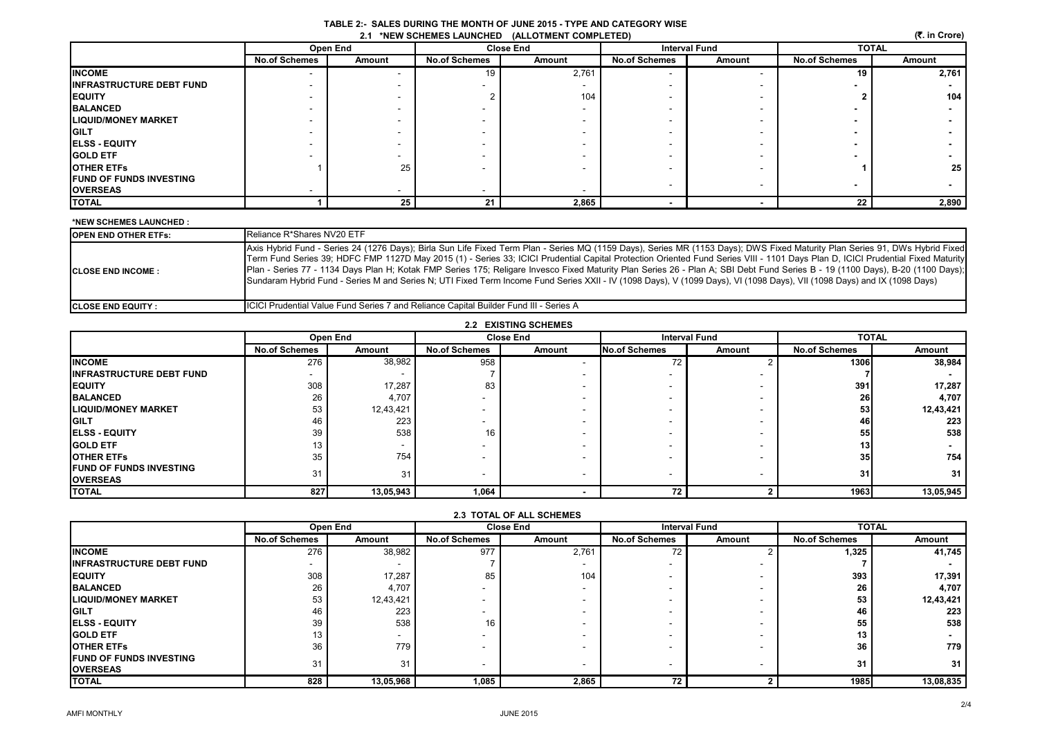| TABLE 2:- SALES DURING THE MONTH OF JUNE 2015 - TYPE AND CATEGORY WISE |  |
|------------------------------------------------------------------------|--|
| 2.1 *NEW SCHEMES LAUNCHED (ALLOTMENT COMPLETED)                        |  |

| (₹. in Crore)<br>2.1 *NEW SCHEMES LAUNCHED (ALLOTMENT COMPLETED) |                      |          |                      |                  |                      |                          |                      |        |  |  |
|------------------------------------------------------------------|----------------------|----------|----------------------|------------------|----------------------|--------------------------|----------------------|--------|--|--|
|                                                                  |                      | Open End |                      | <b>Close End</b> | <b>Interval Fund</b> |                          | <b>TOTAL</b>         |        |  |  |
|                                                                  | <b>No.of Schemes</b> | Amount   | <b>No.of Schemes</b> | Amount           | <b>No.of Schemes</b> | Amount                   | <b>No.of Schemes</b> | Amount |  |  |
| <b>INCOME</b>                                                    |                      |          | 19                   | 2,761            |                      |                          | 19                   | 2,761  |  |  |
| <b>INFRASTRUCTURE DEBT FUND</b>                                  |                      |          |                      |                  |                      |                          |                      |        |  |  |
| <b>EQUITY</b>                                                    |                      |          |                      | 104              |                      |                          |                      | 104    |  |  |
| <b>BALANCED</b>                                                  |                      |          |                      |                  |                      |                          |                      |        |  |  |
| <b>LIQUID/MONEY MARKET</b>                                       |                      |          |                      |                  |                      |                          |                      |        |  |  |
| <b>GILT</b>                                                      |                      |          |                      |                  |                      |                          |                      |        |  |  |
| <b>ELSS - EQUITY</b>                                             |                      |          |                      |                  |                      |                          |                      |        |  |  |
| <b>GOLD ETF</b>                                                  |                      |          |                      |                  |                      |                          |                      |        |  |  |
| <b>OTHER ETFS</b>                                                |                      | 25       |                      |                  |                      |                          |                      | 25     |  |  |
| <b>FUND OF FUNDS INVESTING</b>                                   |                      |          |                      |                  |                      |                          |                      |        |  |  |
| <b>OVERSEAS</b>                                                  |                      |          |                      |                  |                      |                          |                      |        |  |  |
| <b>TOTAL</b>                                                     |                      | 25       | 21                   | 2,865            |                      | $\overline{\phantom{0}}$ | 22                   | 2,890  |  |  |

#### **\*NEW SCHEMES LAUNCHED :**

| <b>IOPEN END OTHER ETFS:</b> | Reliance R*Shares NV20 ETF                                                                                                                                                                                                                                                                                                                                                                                                                                                                                                                                                                                                                                                                                                    |
|------------------------------|-------------------------------------------------------------------------------------------------------------------------------------------------------------------------------------------------------------------------------------------------------------------------------------------------------------------------------------------------------------------------------------------------------------------------------------------------------------------------------------------------------------------------------------------------------------------------------------------------------------------------------------------------------------------------------------------------------------------------------|
| <b>ICLOSE END INCOME:</b>    | Axis Hybrid Fund - Series 24 (1276 Days); Birla Sun Life Fixed Term Plan - Series MQ (1159 Days), Series MR (1153 Days); DWS Fixed Maturity Plan Series 91, DWS Hybrid Fixed<br>Term Fund Series 39; HDFC FMP 1127D May 2015 (1) - Series 33; ICICI Prudential Capital Protection Oriented Fund Series VIII - 1101 Days Plan D, ICICI Prudential Fixed Maturity<br>Plan - Series 77 - 1134 Days Plan H; Kotak FMP Series 175; Religare Invesco Fixed Maturity Plan Series 26 - Plan A; SBI Debt Fund Series B - 19 (1100 Days), B-20 (1100 Days);<br>Sundaram Hybrid Fund - Series M and Series N; UTI Fixed Term Income Fund Series XXII - IV (1098 Days), V (1099 Days), VI (1098 Days), VII (1098 Days) and IX (1098 Days) |
| <b>ICLOSE END EQUITY :</b>   | <b>ICICI Prudential Value Fund Series 7 and Reliance Capital Builder Fund III - Series A</b>                                                                                                                                                                                                                                                                                                                                                                                                                                                                                                                                                                                                                                  |

| <b>2.2 EXISTING SCHEMES</b> |
|-----------------------------|
|-----------------------------|

|                                                    |                      | Open End  |                      | <b>Close End</b> |                      | <b>Interval Fund</b> |                      | <b>TOTAL</b> |
|----------------------------------------------------|----------------------|-----------|----------------------|------------------|----------------------|----------------------|----------------------|--------------|
|                                                    | <b>No.of Schemes</b> | Amount    | <b>No.of Schemes</b> | Amount           | <b>No.of Schemes</b> | Amount               | <b>No.of Schemes</b> | Amount       |
| <b>INCOME</b>                                      | 276                  | 38,982    | 958                  |                  | 72                   |                      | 1306                 | 38,984       |
| <b>INFRASTRUCTURE DEBT FUND</b>                    |                      |           |                      |                  |                      |                      |                      |              |
| <b>EQUITY</b>                                      | 308                  | 17,287    | 83                   |                  |                      |                      | 391                  | 17,287       |
| <b>BALANCED</b>                                    | 26                   | 4,707     |                      |                  |                      |                      | 26                   | 4,707        |
| <b>LIQUID/MONEY MARKET</b>                         | 53                   | 12,43,421 |                      |                  |                      |                      | 53                   | 12,43,421    |
| <b>GILT</b>                                        | 46                   | 223       |                      |                  |                      |                      | 46                   | 223          |
| <b>IELSS - EQUITY</b>                              | 39                   | 538       | 16                   |                  |                      |                      | 55                   | 538          |
| <b>IGOLD ETF</b>                                   | 13                   |           |                      |                  |                      |                      | 13                   |              |
| <b>JOTHER ETFS</b>                                 | 35                   | 754       |                      |                  |                      |                      | 35 <sub>l</sub>      | 754          |
| <b>IFUND OF FUNDS INVESTING</b><br><b>OVERSEAS</b> | 31                   | 31        |                      |                  |                      |                      | 31                   | 31           |
| <b>TOTAL</b>                                       | 827                  | 13,05,943 | 1,064                |                  | 72                   |                      | 1963                 | 13,05,945    |

| <b>2.3 TOTAL OF ALL SCHEMES</b> |  |
|---------------------------------|--|
|---------------------------------|--|

|                                  |                      | Open End  |                          | <b>Close End</b> |                                | <b>Interval Fund</b>     | <b>TOTAL</b>         |           |
|----------------------------------|----------------------|-----------|--------------------------|------------------|--------------------------------|--------------------------|----------------------|-----------|
|                                  | <b>No.of Schemes</b> | Amount    | <b>No.of Schemes</b>     | Amount           | <b>No.of Schemes</b><br>Amount |                          | <b>No.of Schemes</b> | Amount    |
| <b>INCOME</b>                    | 276                  | 38,982    | 977                      | 2,761            | 72                             |                          | 1,325                | 41,745    |
| <b>IINFRASTRUCTURE DEBT FUND</b> |                      |           |                          |                  |                                |                          |                      |           |
| <b>IEQUITY</b>                   | 308                  | 17,287    | 85                       | 104              |                                | $\overline{\phantom{a}}$ | 393                  | 17,391    |
| <b>BALANCED</b>                  | 26                   | 4,707     | $\overline{\phantom{a}}$ |                  |                                | $\overline{\phantom{a}}$ | 26                   | 4,707     |
| <b>LIQUID/MONEY MARKET</b>       | 53                   | 12,43,421 | $\overline{\phantom{a}}$ |                  |                                | $\overline{\phantom{a}}$ | 53                   | 12,43,421 |
| <b>GILT</b>                      | 46                   | 223       | $\overline{\phantom{a}}$ |                  |                                |                          | 46                   | 223       |
| <b>ELSS - EQUITY</b>             | 39                   | 538       | 16                       |                  |                                |                          | 55                   | 538       |
| <b>IGOLD ETF</b>                 | 13                   |           | $\overline{\phantom{a}}$ |                  |                                | $\overline{\phantom{a}}$ | 13                   |           |
| <b>IOTHER ETFS</b>               | 36                   | 779       | $\overline{\phantom{a}}$ |                  |                                | $\overline{\phantom{a}}$ | 36                   | 779       |
| <b>FUND OF FUNDS INVESTING</b>   | 31                   | 31        | $\overline{\phantom{a}}$ |                  | $\overline{\phantom{a}}$       |                          | 31                   | 31        |
| <b>IOVERSEAS</b>                 |                      |           |                          |                  |                                |                          |                      |           |
| <b>TOTAL</b>                     | 828                  | 13,05,968 | 1,085                    | 2,865            | 72                             |                          | 1985                 | 13,08,835 |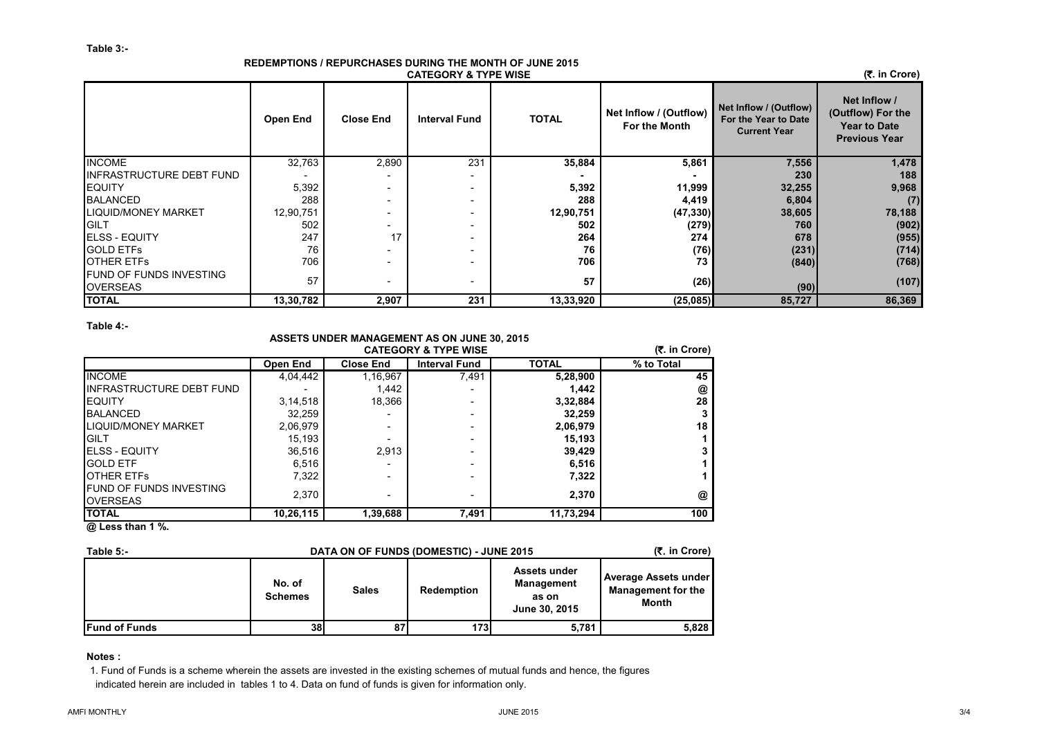#### **REDEMPTIONS / REPURCHASES DURING THE MONTH OF JUNE 2015 CATEGORY & TYPE WISE**

 **(**`**. in Crore)**

|                                                   | Open End  | <b>Close End</b>         | <b>Interval Fund</b> | <b>TOTAL</b> | Net Inflow / (Outflow)<br>For the Month | Net Inflow / (Outflow)<br>For the Year to Date<br><b>Current Year</b> | Net Inflow /<br>(Outflow) For the<br><b>Year to Date</b><br><b>Previous Year</b> |
|---------------------------------------------------|-----------|--------------------------|----------------------|--------------|-----------------------------------------|-----------------------------------------------------------------------|----------------------------------------------------------------------------------|
| <b>INCOME</b>                                     | 32,763    | 2,890                    | 231                  | 35,884       | 5,861                                   | 7,556                                                                 | 1,478                                                                            |
| <b>INFRASTRUCTURE DEBT FUND</b>                   |           |                          |                      |              |                                         | 230                                                                   | 188                                                                              |
| <b>IEQUITY</b>                                    | 5,392     | -                        |                      | 5,392        | 11,999                                  | 32,255                                                                | 9,968                                                                            |
| <b>BALANCED</b>                                   | 288       |                          |                      | 288          | 4,419                                   | 6,804                                                                 | (7)                                                                              |
| <b>LIQUID/MONEY MARKET</b>                        | 12,90,751 |                          |                      | 12,90,751    | (47, 330)                               | 38,605                                                                | 78,188                                                                           |
| <b>GILT</b>                                       | 502       |                          |                      | 502          | (279)                                   | 760                                                                   | (902)                                                                            |
| <b>IELSS - EQUITY</b>                             | 247       | 17                       |                      | 264          | 274                                     | 678                                                                   | (955)                                                                            |
| <b>GOLD ETFS</b>                                  | 76        |                          |                      | 76           | (76)                                    | (231)                                                                 | (714)                                                                            |
| <b>OTHER ETFS</b>                                 | 706       |                          |                      | 706          | 73                                      | (840)                                                                 | (768)                                                                            |
| <b>FUND OF FUNDS INVESTING</b><br><b>OVERSEAS</b> | 57        | $\overline{\phantom{0}}$ |                      | 57           | (26)                                    | (90)                                                                  | (107)                                                                            |
| <b>TOTAL</b>                                      | 13,30,782 | 2,907                    | 231                  | 13,33,920    | (25,085)                                | 85,727                                                                | 86,369                                                                           |

#### **Table 4:-**

## **ASSETS UNDER MANAGEMENT AS ON JUNE 30, 2015**

|                                                   |                 | AVOLTO ONDER MARROLINERT AO ON VONE VV, LOTO<br><b>CATEGORY &amp; TYPE WISE</b> |                      |              |            |  |  |  |  |
|---------------------------------------------------|-----------------|---------------------------------------------------------------------------------|----------------------|--------------|------------|--|--|--|--|
|                                                   | <b>Open End</b> | <b>Close End</b>                                                                | <b>Interval Fund</b> | <b>TOTAL</b> | % to Total |  |  |  |  |
| <b>INCOME</b>                                     | 4.04.442        | 1,16,967                                                                        | 7,491                | 5,28,900     | 45         |  |  |  |  |
| <b>INFRASTRUCTURE DEBT FUND</b>                   |                 | 1,442                                                                           |                      | 1,442        | @          |  |  |  |  |
| <b>IEQUITY</b>                                    | 3,14,518        | 18.366                                                                          |                      | 3,32,884     | 28         |  |  |  |  |
| <b>IBALANCED</b>                                  | 32,259          | -                                                                               |                      | 32,259       | 3          |  |  |  |  |
| <b>LIQUID/MONEY MARKET</b>                        | 2,06,979        | $\overline{\phantom{a}}$                                                        |                      | 2,06,979     | 18         |  |  |  |  |
| <b>GILT</b>                                       | 15,193          |                                                                                 |                      | 15.193       |            |  |  |  |  |
| <b>IELSS - EQUITY</b>                             | 36,516          | 2,913                                                                           |                      | 39,429       | 3          |  |  |  |  |
| <b>GOLD ETF</b>                                   | 6,516           | $\overline{\phantom{a}}$                                                        |                      | 6,516        |            |  |  |  |  |
| <b>IOTHER ETFS</b>                                | 7,322           | ٠                                                                               |                      | 7,322        |            |  |  |  |  |
| <b>FUND OF FUNDS INVESTING</b><br><b>OVERSEAS</b> | 2.370           | ٠                                                                               |                      | 2.370        | @          |  |  |  |  |
| <b>TOTAL</b>                                      | 10,26,115       | 1,39,688                                                                        | 7,491                | 11,73,294    | 100        |  |  |  |  |

#### **@ Less than 1 %.**

| DATA ON OF FUNDS (DOMESTIC) - JUNE 2015<br>Table $5$ :- |                          |              |            |                                                             |                                                                   |  |  |
|---------------------------------------------------------|--------------------------|--------------|------------|-------------------------------------------------------------|-------------------------------------------------------------------|--|--|
|                                                         | No. of<br><b>Schemes</b> | <b>Sales</b> | Redemption | Assets under<br><b>Management</b><br>as on<br>June 30, 2015 | <b>Average Assets under</b><br><b>Management for the</b><br>Month |  |  |
| <b>IFund of Funds</b>                                   | 38                       | 87           | 173        | 5,781                                                       | 5,828                                                             |  |  |

#### **Notes :**

1. Fund of Funds is a scheme wherein the assets are invested in the existing schemes of mutual funds and hence, the figures indicated herein are included in tables 1 to 4. Data on fund of funds is given for information only.